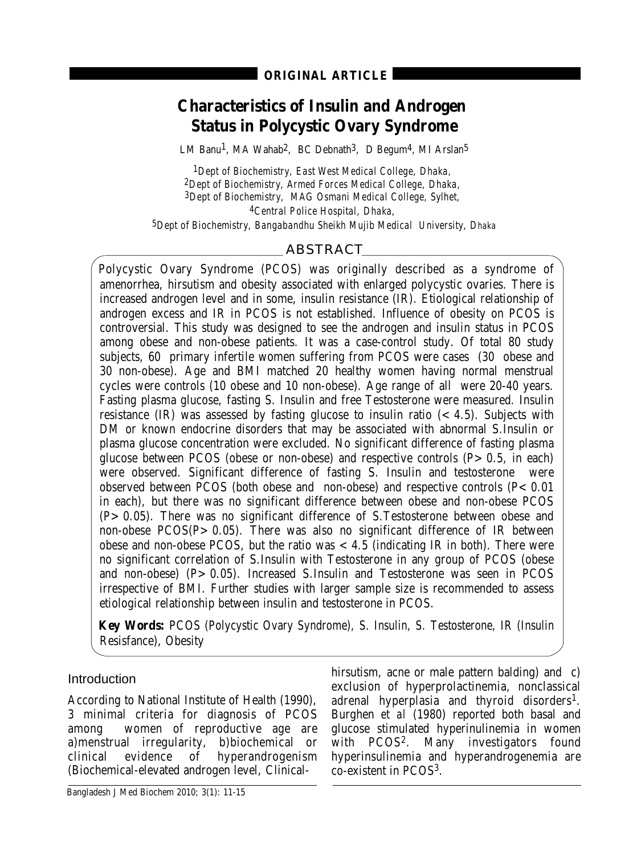# **Characteristics of Insulin and Androgen Status in Polycystic Ovary Syndrome**

LM Banu<sup>1</sup>, MA Wahab<sup>2</sup>, BC Debnath<sup>3</sup>, D Begum<sup>4</sup>, MI Arslan<sup>5</sup>

*1Dept of Biochemistry, East West Medical College, Dhaka, 2Dept of Biochemistry, Armed Forces Medical College, Dhaka, 3Dept of Biochemistry, MAG Osmani Medical College, Sylhet, 4Central Police Hospital, Dhaka,* 

*5Dept of Biochemistry, Bangabandhu Sheikh Mujib Medical University, Dhaka*

## ABSTRACT

Polycystic Ovary Syndrome (PCOS) was originally described as a syndrome of amenorrhea, hirsutism and obesity associated with enlarged polycystic ovaries. There is increased androgen level and in some, insulin resistance (IR). Etiological relationship of androgen excess and IR in PCOS is not established. Influence of obesity on PCOS is controversial. This study was designed to see the androgen and insulin status in PCOS among obese and non-obese patients. It was a case-control study. Of total 80 study subjects, 60 primary infertile women suffering from PCOS were cases (30 obese and 30 non-obese). Age and BMI matched 20 healthy women having normal menstrual cycles were controls (10 obese and 10 non-obese). Age range of all were 20-40 years. Fasting plasma glucose, fasting S. Insulin and free Testosterone were measured. Insulin resistance  $(IR)$  was assessed by fasting glucose to insulin ratio  $( $4.5$ ). Subjects with$ DM or known endocrine disorders that may be associated with abnormal S.Insulin or plasma glucose concentration were excluded. No significant difference of fasting plasma glucose between PCOS (obese or non-obese) and respective controls  $(P>0.5, \text{ in each})$ were observed. Significant difference of fasting S. Insulin and testosterone were observed between PCOS (both obese and non-obese) and respective controls  $(P < 0.01)$ in each), but there was no significant difference between obese and non-obese PCOS (P>0.05). There was no significant difference of S.Testosterone between obese and non-obese  $PCOS(P > 0.05)$ . There was also no significant difference of IR between obese and non-obese PCOS, but the ratio was  $< 4.5$  (indicating IR in both). There were no significant correlation of S.Insulin with Testosterone in any group of PCOS (obese and non-obese)  $(P > 0.05)$ . Increased S.Insulin and Testosterone was seen in PCOS irrespective of BMI. Further studies with larger sample size is recommended to assess etiological relationship between insulin and testosterone in PCOS.

**Key Words:** PCOS (Polycystic Ovary Syndrome), S. Insulin, S. Testosterone, IR (Insulin Resisfance), Obesity

## Introduction

According to National Institute of Health (1990), 3 minimal criteria for diagnosis of PCOS among women of reproductive age are a)menstrual irregularity, b)biochemical or clinical evidence of hyperandrogenism (Biochemical-elevated androgen level, Clinicalhirsutism, acne or male pattern balding) and c) exclusion of hyperprolactinemia, nonclassical adrenal hyperplasia and thyroid disorders<sup>1</sup>. Burghen *et al* (1980) reported both basal and glucose stimulated hyperinulinemia in women with PCOS<sup>2</sup>. Many investigators found hyperinsulinemia and hyperandrogenemia are co-existent in PCOS3.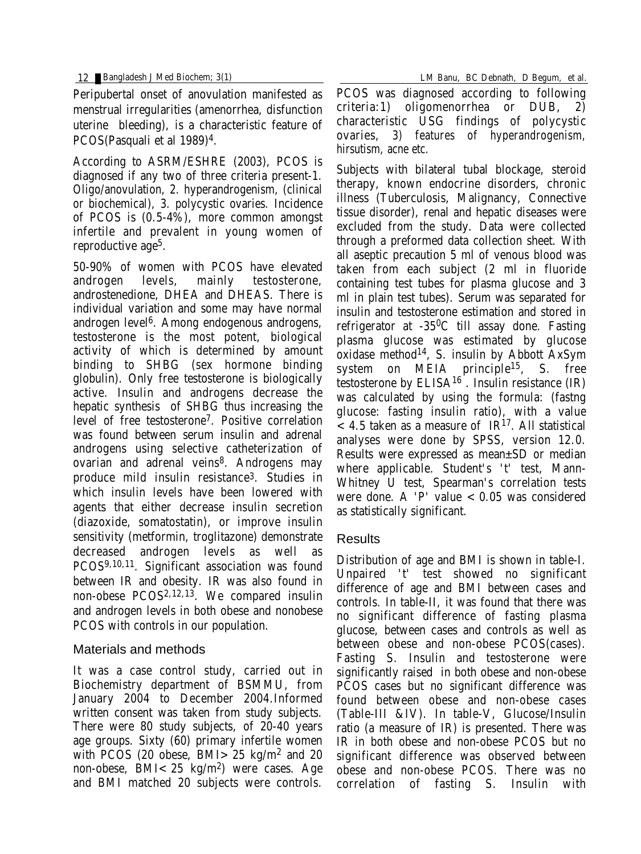Peripubertal onset of anovulation manifested as menstrual irregularities (amenorrhea, disfunction uterine bleeding), is a characteristic feature of PCOS(Pasquali et al 1989)4.

According to ASRM/ESHRE (2003), PCOS is diagnosed if any two of three criteria present-1. Oligo/anovulation, 2. hyperandrogenism, (clinical or biochemical), 3. polycystic ovaries. Incidence of PCOS is (0.5-4%), more common amongst infertile and prevalent in young women of reproductive age<sup>5</sup>.

50-90% of women with PCOS have elevated androgen levels, mainly testosterone, androstenedione, DHEA and DHEAS. There is individual variation and some may have normal androgen level 6. Among endogenous androgens, testosterone is the most potent, biological activity of which is determined by amount binding to SHBG (sex hormone binding globulin). Only free testosterone is biologically active. Insulin and androgens decrease the hepatic synthesis of SHBG thus increasing the level of free testosterone7. Positive correlation was found between serum insulin and adrenal androgens using selective catheterization of ovarian and adrenal veins<sup>8</sup>. Androgens may produce mild insulin resistance3. Studies in which insulin levels have been lowered with agents that either decrease insulin secretion (diazoxide, somatostatin), or improve insulin sensitivity (metformin, troglitazone) demonstrate decreased androgen levels as well PCOS9,10,11. Significant association was found between IR and obesity. IR was also found in non-obese PCOS2,12,13. We compared insulin and androgen levels in both obese and nonobese PCOS with controls in our population.

## Materials and methods

It was a case control study, carried out in Biochemistry department of BSMMU, from January 2004 to December 2004.Informed written consent was taken from study subjects. There were 80 study subjects, of 20-40 years age groups. Sixty (60) primary infertile women with PCOS (20 obese, BMI $>25$  kg/m<sup>2</sup> and 20 non-obese, BMI<25 kg/m2) were cases. Age and BMI matched 20 subjects were controls.

12 Bangladesh J Med Biochem; 3(1) LM Banu, BC Debnath, D Begum, et al.

PCOS was diagnosed according to following criteria:1) oligomenorrhea or DUB, 2) characteristic USG findings of polycystic ovaries, 3) features of hyperandrogenism, hirsutism, acne etc.

Subjects with bilateral tubal blockage, steroid therapy, known endocrine disorders, chronic illness (Tuberculosis, Malignancy, Connective tissue disorder), renal and hepatic diseases were excluded from the study. Data were collected through a preformed data collection sheet. With all aseptic precaution 5 ml of venous blood was taken from each subject (2 ml in fluoride containing test tubes for plasma glucose and 3 ml in plain test tubes). Serum was separated for insulin and testosterone estimation and stored in refrigerator at -350C till assay done. Fasting plasma glucose was estimated by glucose oxidase method14, S. insulin by Abbott AxSym system on MEIA principle15, S. free testosterone by  $ELISA^{16}$ . Insulin resistance  $(IR)$ was calculated by using the formula: (fastng glucose: fasting insulin ratio), with a value  $<$  4.5 taken as a measure of IR<sup>17</sup>. All statistical analyses were done by SPSS, version 12.0. Results were expressed as mean±SD or median where applicable. Student's 't' test, Mann-Whitney U test, Spearman's correlation tests were done. A 'P' value  $< 0.05$  was considered as statistically significant.

## Results

Distribution of age and BMI is shown in table-I. Unpaired 't' test showed no significant difference of age and BMI between cases and controls. In table-II, it was found that there was no significant difference of fasting plasma glucose, between cases and controls as well as between obese and non-obese PCOS(cases). Fasting S. Insulin and testosterone were significantly raised in both obese and non-obese PCOS cases but no significant difference was found between obese and non-obese cases (Table-III &IV). In table-V, Glucose/Insulin ratio (a measure of IR) is presented. There was IR in both obese and non-obese PCOS but no significant difference was observed between obese and non-obese PCOS. There was no correlation of fasting S. Insulin with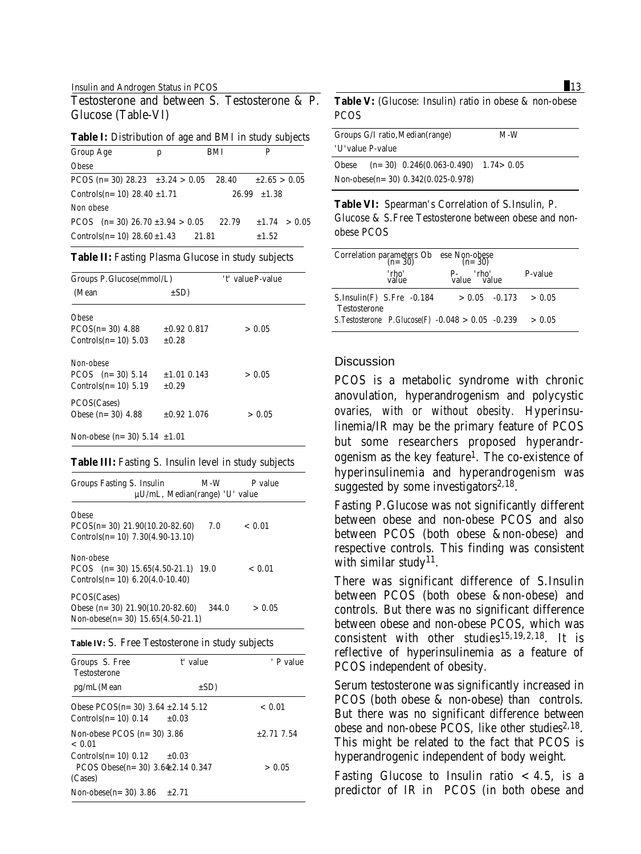#### Insulin and Androgen Status in PCOS 13

Testosterone and between S. Testosterone & P. Glucose (Table-VI)

**Table I:** Distribution of age and BMI in study subjects

| <b>Group Age</b>                      | p |       | BMI   | P                  |                |
|---------------------------------------|---|-------|-------|--------------------|----------------|
| <b>Obese</b>                          |   |       |       |                    |                |
| PCOS (n= 30) 28.23 $\pm 3.24 > 0.05$  |   |       | 28.40 | $\pm 2.65 > 0.05$  |                |
| Controls(n= 10) 28.40 $\pm$ 1.71      |   |       |       | $26.99$ $\pm 1.38$ |                |
| Non obese                             |   |       |       |                    |                |
| PCOS $(n=30)$ 26.70 $\pm 3.94 > 0.05$ |   |       | 22.79 |                    | $±1.74$ > 0.05 |
| Controls $(n=10)$ 28.60 $\pm 1.43$    |   | 21.81 |       | $\pm 1.52$         |                |

**Table II:** Fasting Plasma Glucose in study subjects

| Groups P.Glucose(mmol/L)          |                  | 't' value P-value |
|-----------------------------------|------------------|-------------------|
| (Mean                             | $\pm SD$ )       |                   |
| Obese                             |                  |                   |
| $PCOS(n=30)$ 4.88                 | $\pm 0.92$ 0.817 | > 0.05            |
| Controls $(n=10)$ 5.03            | ±0.28            |                   |
| Non-obese                         |                  |                   |
| PCOS $(n=30)$ 5.14                | $±1.01$ 0.143    | > 0.05            |
| Controls $(n=10)$ 5.19            | ±0.29            |                   |
| PCOS(Cases)                       |                  |                   |
| Obese $(n=30)$ 4.88               | $\pm 0.92$ 1.076 | > 0.05            |
| Non-obese (n= 30) 5.14 $\pm 1.01$ |                  |                   |

#### **Table III:** Fasting S. Insulin level in study subjects

| <b>Groups Fasting S. Insulin</b><br>$\mu$ U/mL, Median(range) 'U' value | M-W   | P value |
|-------------------------------------------------------------------------|-------|---------|
| <b>Obese</b>                                                            |       |         |
| $PCOS(n=30)$ 21.90(10.20-82.60)                                         | 7.0   | < 0.01  |
| Controls $(n=10)$ 7.30 $(4.90-13.10)$                                   |       |         |
| Non-obese                                                               |       |         |
| PCOS $(n=30)$ 15.65(4.50-21.1) 19.0                                     |       | < 0.01  |
| Controls $(n=10)$ 6.20 $(4.0-10.40)$                                    |       |         |
| PCOS(Cases)                                                             |       |         |
| Obese $(n=30)$ 21.90(10.20-82.60)                                       | 344.0 | > 0.05  |
| Non-obese(n= $30$ ) 15.65(4.50-21.1)                                    |       |         |

#### **Table IV:** S. Free Testosterone in study subjects

| Groups S. Free<br><b>Testosterone</b>                                   | t' value | ' P value       |
|-------------------------------------------------------------------------|----------|-----------------|
| pg/mL(Mean                                                              | $\pm SD$ |                 |
| Obese $PCOS(n=30)$ 3.64 $\pm 2.14$ 5.12<br>$\text{Controls}(n=10)$ 0.14 | ±0.03    | < 0.01          |
| Non-obese PCOS $(n=30)$ 3.86<br>< 0.01                                  |          | $\pm 2.71$ 7.54 |
| $\text{Controls}(n=10)$ 0.12<br>PCOS Obese(n= $30$ ) 3.64±2.14 0.347    | ±0.03    | > 0.05          |
| (Cases)                                                                 |          |                 |
| Non-obese $(n=30)$ 3.86                                                 | $+2.71$  |                 |

### **Table V:** (Glucose: Insulin) ratio in obese & non-obese **PCOS**

|       | Groups G/I ratio, Median(range)<br>'U'value P-value | M-W |
|-------|-----------------------------------------------------|-----|
| Obese | $(n=30)$ 0.246(0.063-0.490) 1.74 > 0.05             |     |
|       | Non-obese(n= $30$ ) 0.342(0.025-0.978)              |     |

**Table VI:** Spearman's Correlation of S.Insulin, P. Glucose & S.Free Testosterone between obese and nonobese PCOS

| Correlation parameters Ob ese Non-obese<br>$(n=30)$ $(n=30)$<br>'rho'<br>value | P- 'rho'<br>value value    | <b>P-value</b> |
|--------------------------------------------------------------------------------|----------------------------|----------------|
| S.Insulin(F) S.Fre -0.184                                                      | $> 0.05$ $-0.173$ $> 0.05$ |                |
| <b>Testosterone</b>                                                            |                            |                |
| S.Testosterone P.Glucose(F) $-0.048 > 0.05 -0.239$                             |                            | > 0.05         |

#### **Discussion**

PCOS is a metabolic syndrome with chronic anovulation, hyperandrogenism and polycystic ovaries, with or without obesity. Hyperinsulinemia/IR may be the primary feature of PCOS but some researchers proposed hyperandrogenism as the key feature<sup>1</sup>. The co-existence of hyperinsulinemia and hyperandrogenism was suggested by some investigators $2,18$ .

Fasting P.Glucose was not significantly different between obese and non-obese PCOS and also between PCOS (both obese &non-obese) and respective controls. This finding was consistent with similar study<sup>11</sup>.

There was significant difference of S.Insulin between PCOS (both obese &non-obese) and controls. But there was no significant difference between obese and non-obese PCOS, which was consistent with other studies<sup>15,19,2,18</sup>. It is reflective of hyperinsulinemia as a feature of PCOS independent of obesity.

Serum testosterone was significantly increased in PCOS (both obese & non-obese) than controls. But there was no significant difference between obese and non-obese PCOS, like other studies $2,18$ . This might be related to the fact that PCOS is hyperandrogenic independent of body weight.

Fasting Glucose to Insulin ratio  $< 4.5$ , is a predictor of IR in PCOS (in both obese and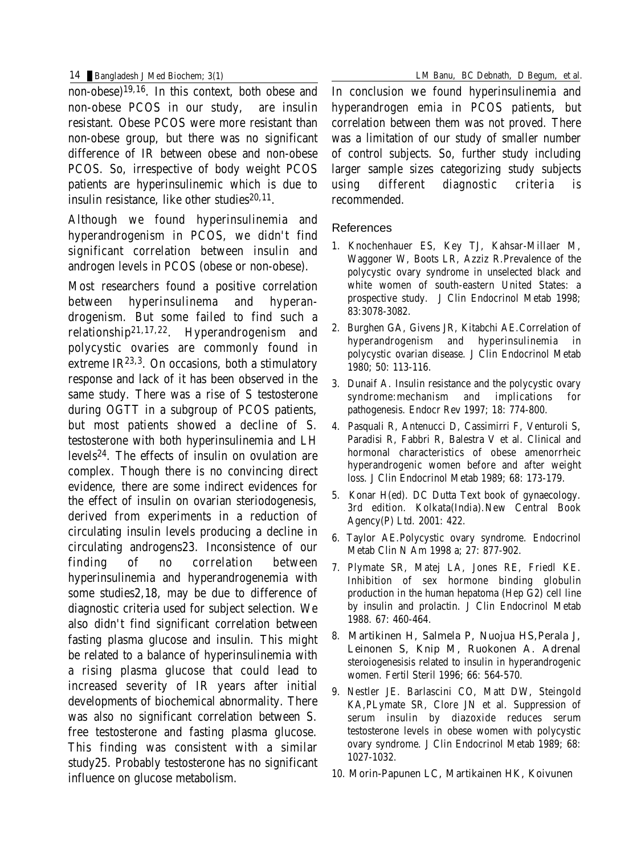non-obese)19,16. In this context, both obese and non-obese PCOS in our study, are insulin resistant. Obese PCOS were more resistant than non-obese group, but there was no significant difference of IR between obese and non-obese PCOS. So, irrespective of body weight PCOS patients are hyperinsulinemic which is due to insulin resistance. like other studies $20,11$ .

Although we found hyperinsulinemia and hyperandrogenism in PCOS, we didn't find significant correlation between insulin and androgen levels in PCOS (obese or non-obese).

Most researchers found a positive correlation between hyperinsulinema and hyperandrogenism. But some failed to find such a relationship21,17,22. Hyperandrogenism and polycystic ovaries are commonly found in extreme  $IR^{23,3}$ . On occasions, both a stimulatory response and lack of it has been observed in the same study. There was a rise of S testosterone during OGTT in a subgroup of PCOS patients, but most patients showed a decline of S. testosterone with both hyperinsulinemia and LH levels24. The effects of insulin on ovulation are complex. Though there is no convincing direct evidence, there are some indirect evidences for the effect of insulin on ovarian steriodogenesis, derived from experiments in a reduction of circulating insulin levels producing a decline in circulating androgens23. Inconsistence of our finding of no correlation between hyperinsulinemia and hyperandrogenemia with some studies2,18, may be due to difference of diagnostic criteria used for subject selection. We also didn't find significant correlation between fasting plasma glucose and insulin. This might be related to a balance of hyperinsulinemia with a rising plasma glucose that could lead to increased severity of IR years after initial developments of biochemical abnormality. There was also no significant correlation between S. free testosterone and fasting plasma glucose. This finding was consistent with a similar study25. Probably testosterone has no significant influence on glucose metabolism.

In conclusion we found hyperinsulinemia and hyperandrogen emia in PCOS patients, but correlation between them was not proved. There was a limitation of our study of smaller number of control subjects. So, further study including larger sample sizes categorizing study subjects using different diagnostic criteria is recommended.

### References

- 1. Knochenhauer ES, Key TJ, Kahsar-Millaer M, Waggoner W, Boots LR, Azziz R.Prevalence of the polycystic ovary syndrome in unselected black and white women of south-eastern United States: a prospective study. J Clin Endocrinol Metab 1998; 83:3078-3082.
- 2. Burghen GA, Givens JR, Kitabchi AE.Correlation of hyperandrogenism and hyperinsulinemia in polycystic ovarian disease. J Clin Endocrinol Metab 1980; 50: 113-116.
- 3. Dunaif A. Insulin resistance and the polycystic ovary syndrome:mechanism and implications for pathogenesis. Endocr Rev 1997; 18: 774-800.
- 4. Pasquali R, Antenucci D, Cassimirri F, Venturoli S, Paradisi R, Fabbri R, Balestra V et al. Clinical and hormonal characteristics of obese amenorrheic hyperandrogenic women before and after weight loss. J Clin Endocrinol Metab 1989; 68: 173-179.
- 5. Konar H(ed). DC Dutta Text book of gynaecology. 3rd edition. Kolkata(India).New Central Book Agency(P) Ltd. 2001: 422.
- 6. Taylor AE.Polycystic ovary syndrome. Endocrinol Metab Clin N Am 1998 a; 27: 877-902.
- 7. Plymate SR, Matej LA, Jones RE, Friedl KE. Inhibition of sex hormone binding globulin production in the human hepatoma (Hep G2) cell line by insulin and prolactin. J Clin Endocrinol Metab 1988. 67: 460-464.
- 8. Martikinen H, Salmela P, Nuojua HS,Perala J, Leinonen S, Knip M, Ruokonen A. Adrenal steroiogenesisis related to insulin in hyperandrogenic women. Fertil Steril 1996; 66: 564-570.
- 9. Nestler JE. Barlascini CO, Matt DW, Steingold KA,PLymate SR, Clore JN et al. Suppression of serum insulin by diazoxide reduces serum testosterone levels in obese women with polycystic ovary syndrome. J Clin Endocrinol Metab 1989; 68: 1027-1032.
- 10. Morin-Papunen LC, Martikainen HK, Koivunen